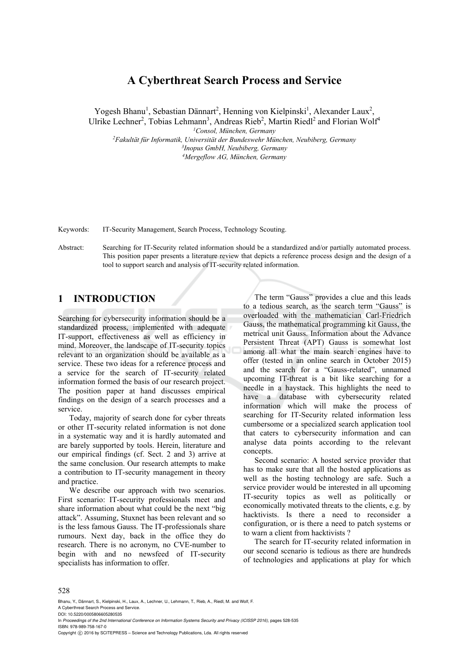# **A Cyberthreat Search Process and Service**

Yogesh Bhanu<sup>1</sup>, Sebastian Dännart<sup>2</sup>, Henning von Kielpinski<sup>1</sup>, Alexander Laux<sup>2</sup>,

Ulrike Lechner<sup>2</sup>, Tobias Lehmann<sup>3</sup>, Andreas Rieb<sup>2</sup>, Martin Riedl<sup>2</sup> and Florian Wolf<sup>4</sup>

<sup>1</sup>Consol, München, Germany *<sup>l</sup>Consol, München, Germany*<br><sup>2</sup>Eakultät für Informatik Universität der Bundeswehr Mün

*Fakultät für Informatik, Universität der Bundeswehr München, Neubiberg, Germany 3Inopus GmbH, Neubiberg, Germany 4 Mergeflow AG, München, Germany* 

Keywords: IT-Security Management, Search Process, Technology Scouting.

Abstract: Searching for IT-Security related information should be a standardized and/or partially automated process. This position paper presents a literature review that depicts a reference process design and the design of a tool to support search and analysis of IT-security related information.

## **1 INTRODUCTION**

Searching for cybersecurity information should be a standardized process, implemented with adequate IT-support, effectiveness as well as efficiency in mind. Moreover, the landscape of IT-security topics relevant to an organization should be available as a service. These two ideas for a reference process and a service for the search of IT-security related information formed the basis of our research project. The position paper at hand discusses empirical findings on the design of a search processes and a service.

Today, majority of search done for cyber threats or other IT-security related information is not done in a systematic way and it is hardly automated and are barely supported by tools. Herein, literature and our empirical findings (cf. Sect. 2 and 3) arrive at the same conclusion. Our research attempts to make a contribution to IT-security management in theory and practice.

We describe our approach with two scenarios. First scenario: IT-security professionals meet and share information about what could be the next "big attack". Assuming, Stuxnet has been relevant and so is the less famous Gauss. The IT-professionals share rumours. Next day, back in the office they do research. There is no acronym, no CVE-number to begin with and no newsfeed of IT-security specialists has information to offer.

The term "Gauss" provides a clue and this leads to a tedious search, as the search term "Gauss" is overloaded with the mathematician Carl-Friedrich Gauss, the mathematical programming kit Gauss, the metrical unit Gauss. Information about the Advance Persistent Threat (APT) Gauss is somewhat lost among all what the main search engines have to offer (tested in an online search in October 2015) and the search for a "Gauss-related", unnamed upcoming IT-threat is a bit like searching for a needle in a haystack. This highlights the need to have a database with cybersecurity related information which will make the process of searching for IT-Security related information less cumbersome or a specialized search application tool that caters to cybersecurity information and can analyse data points according to the relevant concepts.

Second scenario: A hosted service provider that has to make sure that all the hosted applications as well as the hosting technology are safe. Such a service provider would be interested in all upcoming IT-security topics as well as politically or economically motivated threats to the clients, e.g. by hacktivists. Is there a need to reconsider a configuration, or is there a need to patch systems or to warn a client from hacktivists ?

The search for IT-security related information in our second scenario is tedious as there are hundreds of technologies and applications at play for which

#### 528

Bhanu, Y., Dännart, S., Kielpinski, H., Laux, A., Lechner, U., Lehmann, T., Rieb, A., Riedl, M. and Wolf, F. A Cyberthreat Search Process and Service.

DOI: 10.5220/0005806605280535

In *Proceedings of the 2nd International Conference on Information Systems Security and Privacy (ICISSP 2016)*, pages 528-535 ISBN: 978-989-758-167-0

Copyright  $\odot$  2016 by SCITEPRESS - Science and Technology Publications, Lda. All rights reserved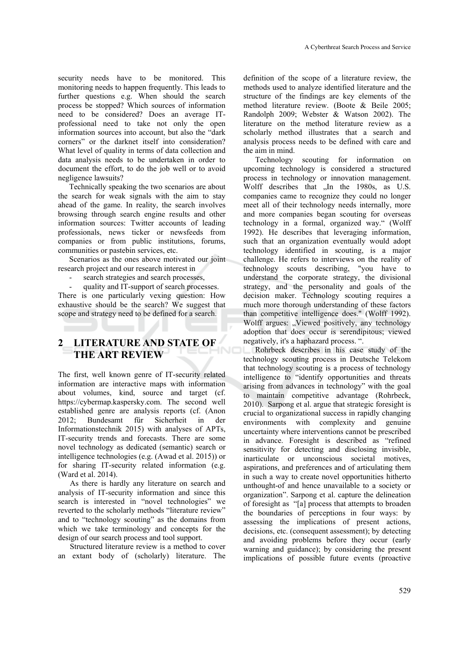security needs have to be monitored. This monitoring needs to happen frequently. This leads to further questions e.g. When should the search process be stopped? Which sources of information need to be considered? Does an average ITprofessional need to take not only the open information sources into account, but also the "dark corners" or the darknet itself into consideration? What level of quality in terms of data collection and data analysis needs to be undertaken in order to document the effort, to do the job well or to avoid negligence lawsuits?

Technically speaking the two scenarios are about the search for weak signals with the aim to stay ahead of the game. In reality, the search involves browsing through search engine results and other information sources: Twitter accounts of leading professionals, news ticker or newsfeeds from companies or from public institutions, forums, communities or pastebin services, etc.

Scenarios as the ones above motivated our joint research project and our research interest in

- search strategies and search processes,
- quality and IT-support of search processes.

There is one particularly vexing question: How exhaustive should be the search? We suggest that scope and strategy need to be defined for a search.

# **2 LITERATURE AND STATE OF THE ART REVIEW**

The first, well known genre of IT-security related information are interactive maps with information about volumes, kind, source and target (cf. https://cybermap.kaspersky.com. The second well established genre are analysis reports (cf. (Anon 2012; Bundesamt für Sicherheit in der Informationstechnik 2015) with analyses of APTs, IT-security trends and forecasts. There are some novel technology as dedicated (semantic) search or intelligence technologies (e.g. (Awad et al. 2015)) or for sharing IT-security related information (e.g. (Ward et al. 2014).

As there is hardly any literature on search and analysis of IT-security information and since this search is interested in "novel technologies" we reverted to the scholarly methods "literature review" and to "technology scouting" as the domains from which we take terminology and concepts for the design of our search process and tool support.

Structured literature review is a method to cover an extant body of (scholarly) literature. The definition of the scope of a literature review, the methods used to analyze identified literature and the structure of the findings are key elements of the method literature review. (Boote & Beile 2005; Randolph 2009; Webster & Watson 2002). The literature on the method literature review as a scholarly method illustrates that a search and analysis process needs to be defined with care and the aim in mind.

Technology scouting for information on upcoming technology is considered a structured process in technology or innovation management. Wolff describes that "In the 1980s, as U.S. companies came to recognize they could no longer meet all of their technology needs internally, more and more companies began scouting for overseas technology in a formal, organized way." (Wolff 1992). He describes that leveraging information, such that an organization eventually would adopt technology identified in scouting, is a major challenge. He refers to interviews on the reality of technology scouts describing, "you have to understand the corporate strategy, the divisional strategy, and the personality and goals of the decision maker. Technology scouting requires a much more thorough understanding of these factors than competitive intelligence does." (Wolff 1992). Wolff argues: "Viewed positively, any technology adoption that does occur is serendipitous; viewed negatively, it's a haphazard process. ".

Rohrbeck describes in his case study of the technology scouting process in Deutsche Telekom that technology scouting is a process of technology intelligence to "identify opportunities and threats arising from advances in technology" with the goal to maintain competitive advantage (Rohrbeck, 2010). Sarpong et al. argue that strategic foresight is crucial to organizational success in rapidly changing environments with complexity and genuine uncertainty where interventions cannot be prescribed in advance. Foresight is described as "refined sensitivity for detecting and disclosing invisible, inarticulate or unconscious societal motives, aspirations, and preferences and of articulating them in such a way to create novel opportunities hitherto unthought-of and hence unavailable to a society or organization". Sarpong et al. capture the delineation of foresight as "[a] process that attempts to broaden the boundaries of perceptions in four ways: by assessing the implications of present actions, decisions, etc. (consequent assessment); by detecting and avoiding problems before they occur (early warning and guidance); by considering the present implications of possible future events (proactive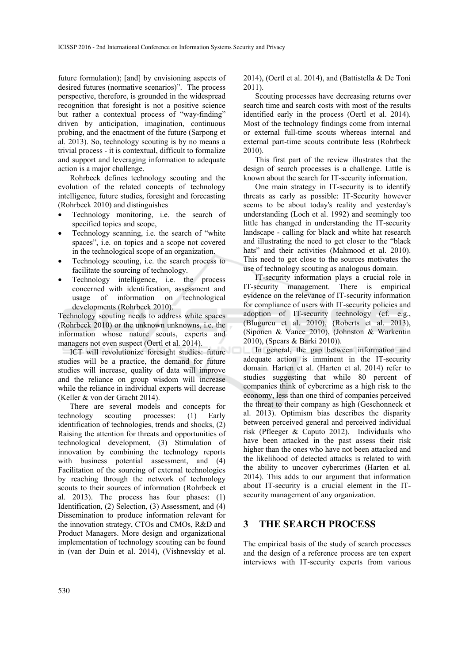future formulation); [and] by envisioning aspects of desired futures (normative scenarios)". The process perspective, therefore, is grounded in the widespread recognition that foresight is not a positive science but rather a contextual process of "way-finding" driven by anticipation, imagination, continuous probing, and the enactment of the future (Sarpong et al. 2013). So, technology scouting is by no means a trivial process - it is contextual, difficult to formalize and support and leveraging information to adequate action is a major challenge.

Rohrbeck defines technology scouting and the evolution of the related concepts of technology intelligence, future studies, foresight and forecasting (Rohrbeck 2010) and distinguishes

- Technology monitoring, i.e. the search of specified topics and scope,
- Technology scanning, i.e. the search of "white spaces", i.e. on topics and a scope not covered in the technological scope of an organization.
- Technology scouting, i.e. the search process to facilitate the sourcing of technology.
- Technology intelligence, i.e. the process concerned with identification, assessment and usage of information on technological developments (Rohrbeck 2010).

Technology scouting needs to address white spaces (Rohrbeck 2010) or the unknown unknowns, i.e. the information whose nature scouts, experts and managers not even suspect (Oertl et al. 2014).

ICT will revolutionize foresight studies: future studies will be a practice, the demand for future studies will increase, quality of data will improve and the reliance on group wisdom will increase while the reliance in individual experts will decrease (Keller & von der Gracht 2014).

There are several models and concepts for technology scouting processes: (1) Early identification of technologies, trends and shocks, (2) Raising the attention for threats and opportunities of technological development, (3) Stimulation of innovation by combining the technology reports with business potential assessment, and (4) Facilitation of the sourcing of external technologies by reaching through the network of technology scouts to their sources of information (Rohrbeck et al. 2013). The process has four phases: (1) Identification, (2) Selection, (3) Assessment, and (4) Dissemination to produce information relevant for the innovation strategy, CTOs and CMOs, R&D and Product Managers. More design and organizational implementation of technology scouting can be found in (van der Duin et al. 2014), (Vishnevskiy et al.

2014), (Oertl et al. 2014), and (Battistella & De Toni 2011).

Scouting processes have decreasing returns over search time and search costs with most of the results identified early in the process (Oertl et al. 2014). Most of the technology findings come from internal or external full-time scouts whereas internal and external part-time scouts contribute less (Rohrbeck 2010).

This first part of the review illustrates that the design of search processes is a challenge. Little is known about the search for IT-security information.

One main strategy in IT-security is to identify threats as early as possible: IT-Security however seems to be about today's reality and yesterday's understanding (Loch et al. 1992) and seemingly too little has changed in understanding the IT-security landscape - calling for black and white hat research and illustrating the need to get closer to the "black hats" and their activities (Mahmood et al. 2010). This need to get close to the sources motivates the use of technology scouting as analogous domain.

IT-security information plays a crucial role in IT-security management. There is empirical evidence on the relevance of IT-security information for compliance of users with IT-security policies and adoption of IT-security technology (cf. e.g., (Blugurcu et al. 2010), (Roberts et al. 2013), (Siponen & Vance 2010), (Johnston & Warkentin 2010), (Spears & Barki 2010)).

In general, the gap between information and adequate action is imminent in the IT-security domain. Harten et al. (Harten et al. 2014) refer to studies suggesting that while 80 percent of companies think of cybercrime as a high risk to the economy, less than one third of companies perceived the threat to their company as high (Geschonneck et al. 2013). Optimism bias describes the disparity between perceived general and perceived individual risk (Pfleeger & Caputo 2012). Individuals who have been attacked in the past assess their risk higher than the ones who have not been attacked and the likelihood of detected attacks is related to with the ability to uncover cybercrimes (Harten et al. 2014). This adds to our argument that information about IT-security is a crucial element in the ITsecurity management of any organization.

### **3 THE SEARCH PROCESS**

The empirical basis of the study of search processes and the design of a reference process are ten expert interviews with IT-security experts from various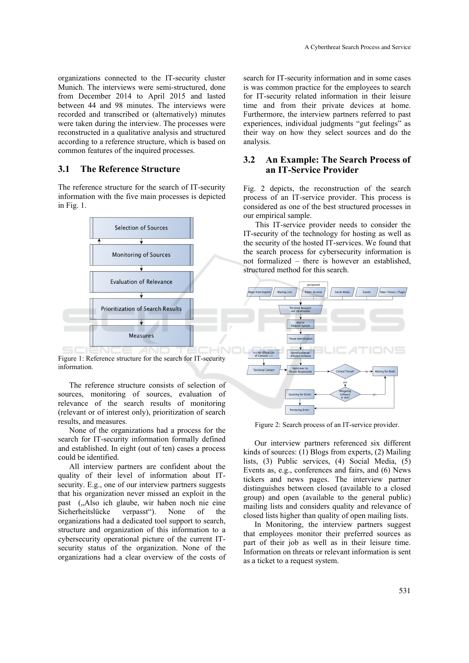organizations connected to the IT-security cluster Munich. The interviews were semi-structured, done from December 2014 to April 2015 and lasted between 44 and 98 minutes. The interviews were recorded and transcribed or (alternatively) minutes were taken during the interview. The processes were reconstructed in a qualitative analysis and structured according to a reference structure, which is based on common features of the inquired processes.

#### **3.1 The Reference Structure**

The reference structure for the search of IT-security information with the five main processes is depicted in Fig. 1.



Figure 1: Reference structure for the search for IT-security information.

**INI** 

The reference structure consists of selection of sources, monitoring of sources, evaluation of relevance of the search results of monitoring (relevant or of interest only), prioritization of search results, and measures.

None of the organizations had a process for the search for IT-security information formally defined and established. In eight (out of ten) cases a process could be identified.

All interview partners are confident about the quality of their level of information about ITsecurity. E.g., one of our interview partners suggests that his organization never missed an exploit in the past ("Also ich glaube, wir haben noch nie eine Sicherheitslücke verpasst"). None of the organizations had a dedicated tool support to search, structure and organization of this information to a cybersecurity operational picture of the current ITsecurity status of the organization. None of the organizations had a clear overview of the costs of

search for IT-security information and in some cases is was common practice for the employees to search for IT-security related information in their leisure time and from their private devices at home. Furthermore, the interview partners referred to past experiences, individual judgments "gut feelings" as their way on how they select sources and do the analysis.

#### **3.2 An Example: The Search Process of an IT-Service Provider**

Fig. 2 depicts, the reconstruction of the search process of an IT-service provider. This process is considered as one of the best structured processes in our empirical sample.

This IT-service provider needs to consider the IT-security of the technology for hosting as well as the security of the hosted IT-services. We found that the search process for cybersecurity information is not formalized – there is however an established, structured method for this search.



Figure 2: Search process of an IT-service provider.

Our interview partners referenced six different kinds of sources: (1) Blogs from experts, (2) Mailing lists, (3) Public services, (4) Social Media, (5) Events as, e.g., conferences and fairs, and (6) News tickers and news pages. The interview partner distinguishes between closed (available to a closed group) and open (available to the general public) mailing lists and considers quality and relevance of closed lists higher than quality of open mailing lists.

In Monitoring, the interview partners suggest that employees monitor their preferred sources as part of their job as well as in their leisure time. Information on threats or relevant information is sent as a ticket to a request system.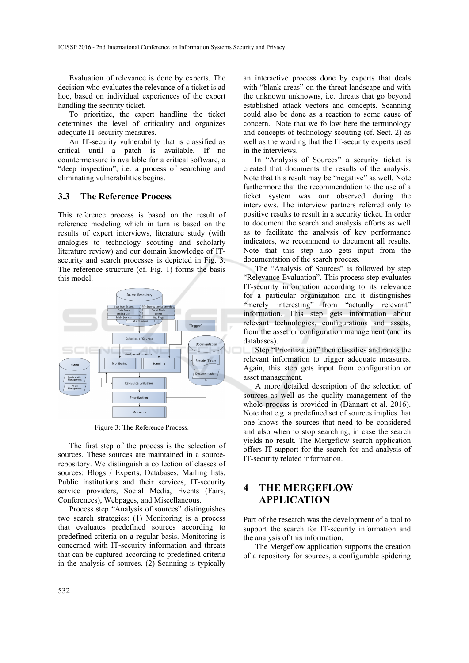Evaluation of relevance is done by experts. The decision who evaluates the relevance of a ticket is ad hoc, based on individual experiences of the expert handling the security ticket.

To prioritize, the expert handling the ticket determines the level of criticality and organizes adequate IT-security measures.

An IT-security vulnerability that is classified as critical until a patch is available. If no countermeasure is available for a critical software, a "deep inspection", i.e. a process of searching and eliminating vulnerabilities begins.

#### **3.3 The Reference Process**

This reference process is based on the result of reference modeling which in turn is based on the results of expert interviews, literature study (with analogies to technology scouting and scholarly literature review) and our domain knowledge of ITsecurity and search processes is depicted in Fig. 3. The reference structure (cf. Fig. 1) forms the basis this model.



Figure 3: The Reference Process.

The first step of the process is the selection of sources. These sources are maintained in a sourcerepository. We distinguish a collection of classes of sources: Blogs / Experts, Databases, Mailing lists, Public institutions and their services, IT-security service providers, Social Media, Events (Fairs, Conferences), Webpages, and Miscellaneous.

Process step "Analysis of sources" distinguishes two search strategies: (1) Monitoring is a process that evaluates predefined sources according to predefined criteria on a regular basis. Monitoring is concerned with IT-security information and threats that can be captured according to predefined criteria in the analysis of sources. (2) Scanning is typically

an interactive process done by experts that deals with "blank areas" on the threat landscape and with the unknown unknowns, i.e. threats that go beyond established attack vectors and concepts. Scanning could also be done as a reaction to some cause of concern. Note that we follow here the terminology and concepts of technology scouting (cf. Sect. 2) as well as the wording that the IT-security experts used in the interviews.

In "Analysis of Sources" a security ticket is created that documents the results of the analysis. Note that this result may be "negative" as well. Note furthermore that the recommendation to the use of a ticket system was our observed during the interviews. The interview partners referred only to positive results to result in a security ticket. In order to document the search and analysis efforts as well as to facilitate the analysis of key performance indicators, we recommend to document all results. Note that this step also gets input from the documentation of the search process.

The "Analysis of Sources" is followed by step "Relevance Evaluation". This process step evaluates IT-security information according to its relevance for a particular organization and it distinguishes "merely interesting" from "actually relevant" information. This step gets information about relevant technologies, configurations and assets, from the asset or configuration management (and its databases).

Step "Prioritization" then classifies and ranks the relevant information to trigger adequate measures. Again, this step gets input from configuration or asset management.

A more detailed description of the selection of sources as well as the quality management of the whole process is provided in (Dännart et al. 2016). Note that e.g. a predefined set of sources implies that one knows the sources that need to be considered and also when to stop searching, in case the search yields no result. The Mergeflow search application offers IT-support for the search for and analysis of IT-security related information.

# **4 THE MERGEFLOW APPLICATION**

Part of the research was the development of a tool to support the search for IT-security information and the analysis of this information.

The Mergeflow application supports the creation of a repository for sources, a configurable spidering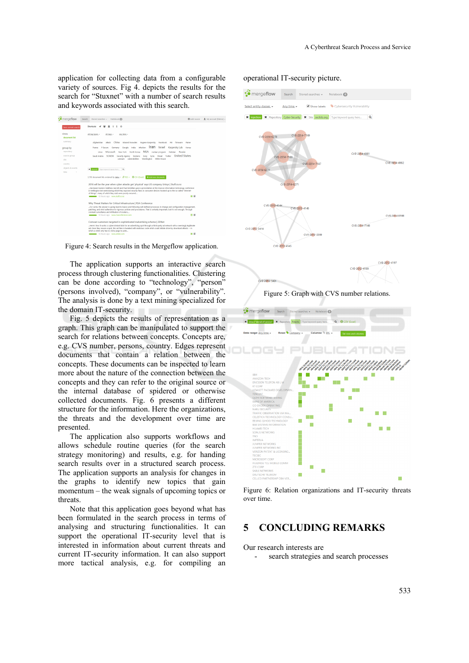application for collecting data from a configurable variety of sources. Fig 4. depicts the results for the search for "Stuxnet" with a number of search results and keywords associated with this search.

| · mergeflow         | O Add source<br>Notebook @<br>Search<br>Stored searches -                                                                                                                                                                                                                                                          | 鱼 My account (fdem) |
|---------------------|--------------------------------------------------------------------------------------------------------------------------------------------------------------------------------------------------------------------------------------------------------------------------------------------------------------------|---------------------|
| Save current search | Ó<br><b>Shortcuts</b><br>s                                                                                                                                                                                                                                                                                         |                     |
| views               | All tag types. -<br>40 tags -<br>Any time. -                                                                                                                                                                                                                                                                       |                     |
| document list       |                                                                                                                                                                                                                                                                                                                    |                     |
| summary             | <b>Eugene Kaspersky</b><br>Afgharistan<br>China<br>Edward Snowden<br>Facebook<br><b>attack</b><br>FBI.<br>frmmate<br>Flame                                                                                                                                                                                         |                     |
| group by            | Iran<br>Israel<br>infection<br>Kaspersky Lab<br>Google<br>India<br>Korea<br>Germany<br>France<br><b>F-Secure</b>                                                                                                                                                                                                   |                     |
| repository          | <b>NSA</b><br>Microsoft<br>New York North Korea<br>nuclear program<br>Pakistan<br>Russia<br>Lincoc                                                                                                                                                                                                                 |                     |
| source group        | <b>United States</b><br><b>SCADA</b><br>Twitter<br>Saudi Arabia<br>Security Agency Siemens<br>Syria threat<br>Sony                                                                                                                                                                                                 |                     |
| she                 | uranium vulnerabilities<br>Washington White House                                                                                                                                                                                                                                                                  |                     |
| country             |                                                                                                                                                                                                                                                                                                                    |                     |
| objects & events    | X stumets<br>Type keyword query here<br><b>Q</b>                                                                                                                                                                                                                                                                   |                     |
| time                |                                                                                                                                                                                                                                                                                                                    |                     |
|                     | 3.700 document hits ordered by date - @ RSS - @ CSV (Excel) + And more documents                                                                                                                                                                                                                                   |                     |
|                     | 2016 will be the year when cyber attacks get 'physical' says US company Unisys   Stuff.co.nz                                                                                                                                                                                                                       |                     |
|                     | Hardware hackers Matthew Garrett and Paul McMillan gave a presentation at the Kiwicon information technology conference<br>in Wellington last week during which they exposed security flaws in consumer devices hooked up to the so-called "internet-<br>of-things", many of which they said were poorly-secured   |                     |
|                     | ニ目<br>10 hours ago www.stuff.co.rg                                                                                                                                                                                                                                                                                 |                     |
|                     | Why Threat Matters for Critical Infrastructure   RSA Conference                                                                                                                                                                                                                                                    |                     |
|                     | For some, the answer is going back to basics and following well-defined processes in change and configuration management,<br>patching, and strict adherence to rigorous policies and procedures. That is certainly important, but it's not enough. Through<br>constant surveillance and infiltration of insiders   |                     |
|                     | 百日<br>10 hours ago www.rsaconference.com                                                                                                                                                                                                                                                                           |                     |
|                     | Comcast customers targeted in sophisticated malvertising scheme   ZDNet                                                                                                                                                                                                                                            |                     |
|                     | Here's how it works: A cybercriminal bids for an advertising spot through a third-party ad network with a seemingly legitimate<br>ad. Once they secure a spot, this ad then is tweaked with malicious code which could initiate drive-by download attacks -- in<br>which a victim only has to visit a page to pote |                     |
|                     | $-$ 10<br>and the house was compared and com-                                                                                                                                                                                                                                                                      |                     |

Figure 4: Search results in the Mergeflow application.

The application supports an interactive search process through clustering functionalities. Clustering can be done according to "technology", "person" (persons involved), "company", or "vulnerability". The analysis is done by a text mining specialized for the domain IT-security.

Fig. 5 depicts the results of representation as a graph. This graph can be manipulated to support the search for relations between concepts. Concepts are, e.g. CVS number, persons, country. Edges represent documents that contain a relation between the concepts. These documents can be inspected to learn more about the nature of the connection between the concepts and they can refer to the original source or the internal database of spidered or otherwise collected documents. Fig. 6 presents a different structure for the information. Here the organizations, the threats and the development over time are presented.

The application also supports workflows and allows schedule routine queries (for the search strategy monitoring) and results, e.g. for handing search results over in a structured search process. The application supports an analysis for changes in the graphs to identify new topics that gain momentum – the weak signals of upcoming topics or threats.

Note that this application goes beyond what has been formulated in the search process in terms of analysing and structuring functionalities. It can support the operational IT-security level that is interested in information about current threats and current IT-security information. It can also support more tactical analysis, e.g. for compiling an

operational IT-security picture.



Figure 6: Relation organizations and IT-security threats over time.

#### **5 CONCLUDING REMARKS**

Our research interests are

search strategies and search processes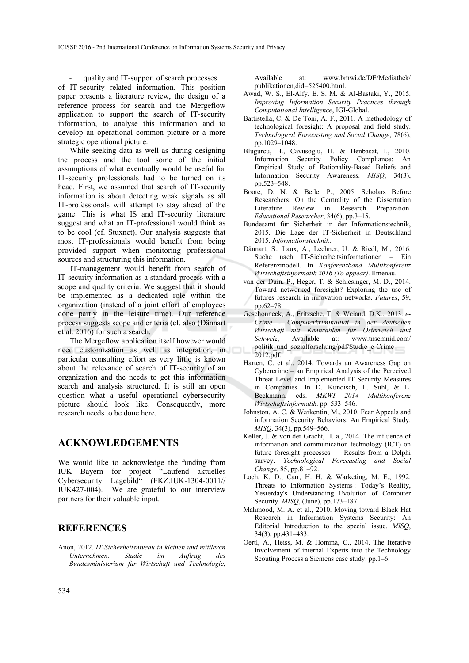quality and IT-support of search processes of IT-security related information. This position paper presents a literature review, the design of a reference process for search and the Mergeflow application to support the search of IT-security information, to analyse this information and to develop an operational common picture or a more strategic operational picture.

While seeking data as well as during designing the process and the tool some of the initial assumptions of what eventually would be useful for IT-security professionals had to be turned on its head. First, we assumed that search of IT-security information is about detecting weak signals as all IT-professionals will attempt to stay ahead of the game. This is what IS and IT-security literature suggest and what an IT-professional would think as to be cool (cf. Stuxnet). Our analysis suggests that most IT-professionals would benefit from being provided support when monitoring professional sources and structuring this information.

IT-management would benefit from search of IT-security information as a standard process with a scope and quality criteria. We suggest that it should be implemented as a dedicated role within the organization (instead of a joint effort of employees done partly in the leisure time). Our reference process suggests scope and criteria (cf. also (Dännart et al. 2016) for such a search.

The Mergeflow application itself however would need customization as well as integration, in particular consulting effort as very little is known about the relevance of search of IT-security of an organization and the needs to get this information search and analysis structured. It is still an open question what a useful operational cybersecurity picture should look like. Consequently, more research needs to be done here.

#### **ACKNOWLEDGEMENTS**

We would like to acknowledge the funding from IUK Bayern for project "Laufend aktuelles Cybersecurity Lagebild" (FKZ:IUK-1304-0011// IUK427-004). We are grateful to our interview partners for their valuable input.

#### **REFERENCES**

Anon, 2012. *IT-Sicherheitsniveau in kleinen und mittleren Unternehmen. Studie im Auftrag des Bundesministerium für Wirtschaft und Technologie*, Available at: www.bmwi.de/DE/Mediathek/ publikationen,did=525400.html.

- Awad, W. S., El-Alfy, E. S. M. & Al-Bastaki, Y., 2015. *Improving Information Security Practices through Computational Intelligence*, IGI-Global.
- Battistella, C. & De Toni, A. F., 2011. A methodology of technological foresight: A proposal and field study. *Technological Forecasting and Social Change*, 78(6), pp.1029–1048.
- Blugurcu, B., Cavusoglu, H. & Benbasat, I., 2010. Information Security Policy Compliance: An Empirical Study of Rationality-Based Beliefs and Information Security Awareness. *MISQ*, 34(3), pp.523–548.
- Boote, D. N. & Beile, P., 2005. Scholars Before Researchers: On the Centrality of the Dissertation Literature Review in Research Preparation. *Educational Researcher*, 34(6), pp.3–15.
- Bundesamt für Sicherheit in der Informationstechnik, 2015. Die Lage der IT-Sicherheit in Deutschland 2015. *Informationstechnik*.
- Dännart, S., Laux, A., Lechner, U. & Riedl, M., 2016. Suche nach IT-Sicherheitsinformationen – Ein Referenzmodell. In *Konferenzband Multikonferenz Wirtschaftsinformatik 2016 (To appear)*. Ilmenau.
- van der Duin, P., Heger, T. & Schlesinger, M. D., 2014. Toward networked foresight? Exploring the use of futures research in innovation networks. *Futures*, 59, pp.62–78.
- Geschonneck, A., Fritzsche, T. & Weiand, D.K., 2013. *e-Crime - Computerkriminalität in der deutschen Wirtschaft mit Kennzahlen für Österreich und Schweiz*, Available at: www.tnsemnid.com/ politik\_und\_sozialforschung/pdf/Studie\_e-Crime-2012.pdf.
- Harten, C. et al., 2014. Towards an Awareness Gap on Cybercrime – an Empirical Analysis of the Perceived Threat Level and Implemented IT Security Measures in Companies. In D. Kundisch, L. Suhl, & L. Beckmann, eds. *MKWI 2014 Multikonferenz Wirtschaftsinformatik*. pp. 533–546.
- Johnston, A. C. & Warkentin, M., 2010. Fear Appeals and information Security Behaviors: An Empirical Study. *MISQ*, 34(3), pp.549–566.
- Keller, J. & von der Gracht, H. a., 2014. The influence of information and communication technology (ICT) on future foresight processes — Results from a Delphi survey. *Technological Forecasting and Social Change*, 85, pp.81–92.
- Loch, K. D., Carr, H. H. & Warketing, M. E., 1992. Threats to Information Systems : Today's Reality, Yesterday's Understanding Evolution of Computer Security. *MISQ*, (June), pp.173–187.
- Mahmood, M. A. et al., 2010. Moving toward Black Hat Research in Information Systems Security: An Editorial Introduction to the special issue. *MISQ*, 34(3), pp.431–433.
- Oertl, A., Heiss, M. & Homma, C., 2014. The Iterative Involvement of internal Experts into the Technology Scouting Process a Siemens case study. pp.1–6.